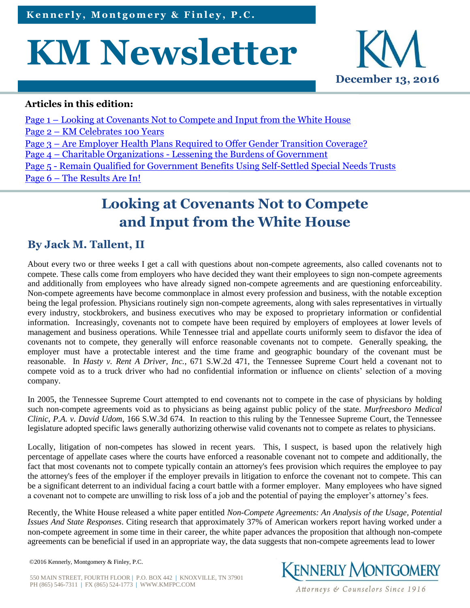# **KM Newsletter**



#### **Articles in this edition:**

Page 1 – Looking at Covenants Not to Compete and Input from the White House Page 2 – [KM Celebrates 100 Years](#page-1-0) Page 3 – [Are Employer Health Plans Required to Offer Gender Transition Coverage?](#page-2-0) Page 4 – Charitable Organizations - [Lessening the Burdens of Government](#page-3-0) Page 5 - [Remain Qualified for Government Benefits Using Self-Settled Special Needs Trusts](#page-4-0) Page 6 – [The Results Are In!](#page-5-0)

# **Looking at Covenants Not to Compete and Input from the White House**

### **By Jack M. Tallent, II**

About every two or three weeks I get a call with questions about non-compete agreements, also called covenants not to compete. These calls come from employers who have decided they want their employees to sign non-compete agreements and additionally from employees who have already signed non-compete agreements and are questioning enforceability. Non-compete agreements have become commonplace in almost every profession and business, with the notable exception being the legal profession. Physicians routinely sign non-compete agreements, along with sales representatives in virtually every industry, stockbrokers, and business executives who may be exposed to proprietary information or confidential information. Increasingly, covenants not to compete have been required by employers of employees at lower levels of management and business operations. While Tennessee trial and appellate courts uniformly seem to disfavor the idea of covenants not to compete, they generally will enforce reasonable covenants not to compete. Generally speaking, the employer must have a protectable interest and the time frame and geographic boundary of the covenant must be reasonable. In *Hasty v. Rent A Driver, Inc.*, 671 S.W.2d 471, the Tennessee Supreme Court held a covenant not to compete void as to a truck driver who had no confidential information or influence on clients' selection of a moving company.

In 2005, the Tennessee Supreme Court attempted to end covenants not to compete in the case of physicians by holding such non-compete agreements void as to physicians as being against public policy of the state. *Murfreesboro Medical Clinic, P.A. v. David Udom*, 166 S.W.3d 674. In reaction to this ruling by the Tennessee Supreme Court, the Tennessee legislature adopted specific laws generally authorizing otherwise valid covenants not to compete as relates to physicians.

Locally, litigation of non-competes has slowed in recent years. This, I suspect, is based upon the relatively high percentage of appellate cases where the courts have enforced a reasonable covenant not to compete and additionally, the fact that most covenants not to compete typically contain an attorney's fees provision which requires the employee to pay the attorney's fees of the employer if the employer prevails in litigation to enforce the covenant not to compete. This can be a significant deterrent to an individual facing a court battle with a former employer. Many employees who have signed a covenant not to compete are unwilling to risk loss of a job and the potential of paying the employer's attorney's fees.

Recently, the White House released a white paper entitled *Non-Compete Agreements: An Analysis of the Usage, Potential Issues And State Responses*. Citing research that approximately 37% of American workers report having worked under a non-compete agreement in some time in their career, the white paper advances the proposition that although non-compete agreements can be beneficial if used in an appropriate way, the data suggests that non-compete agreements lead to lower



550 MAIN STREET, FOURTH FLOOR | P.O. BOX 442 | KNOXVILLE, TN 37901 PH (865) 546-7311 | FX (865) 524-1773 | WWW.KMFPC.COM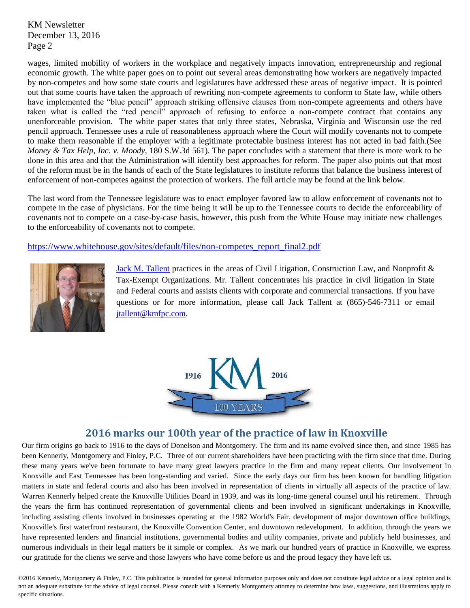<span id="page-1-0"></span>KM Newsletter December 13, 2016 Page 2

wages, limited mobility of workers in the workplace and negatively impacts innovation, entrepreneurship and regional economic growth. The white paper goes on to point out several areas demonstrating how workers are negatively impacted by non-competes and how some state courts and legislatures have addressed these areas of negative impact. It is pointed out that some courts have taken the approach of rewriting non-compete agreements to conform to State law, while others have implemented the "blue pencil" approach striking offensive clauses from non-compete agreements and others have taken what is called the "red pencil" approach of refusing to enforce a non-compete contract that contains any unenforceable provision. The white paper states that only three states, Nebraska, Virginia and Wisconsin use the red pencil approach. Tennessee uses a rule of reasonableness approach where the Court will modify covenants not to compete to make them reasonable if the employer with a legitimate protectable business interest has not acted in bad faith.(See *Money & Tax Help, Inc. v. Moody*, 180 S.W.3d 561). The paper concludes with a statement that there is more work to be done in this area and that the Administration will identify best approaches for reform. The paper also points out that most of the reform must be in the hands of each of the State legislatures to institute reforms that balance the business interest of enforcement of non-competes against the protection of workers. The full article may be found at the link below.

The last word from the Tennessee legislature was to enact employer favored law to allow enforcement of covenants not to compete in the case of physicians. For the time being it will be up to the Tennessee courts to decide the enforceability of covenants not to compete on a case-by-case basis, however, this push from the White House may initiate new challenges to the enforceability of covenants not to compete.

[https://www.whitehouse.gov/sites/default/files/non-competes\\_report\\_final2.pdf](https://www.whitehouse.gov/sites/default/files/non-competes_report_final2.pdf)



[Jack M. Tallent](http://www.kmfpc.com/attorneys/jack_m_tallent_ii.aspx) practices in the areas of Civil Litigation, Construction Law, and Nonprofit & Tax-Exempt Organizations. Mr. Tallent concentrates his practice in civil litigation in State and Federal courts and assists clients with corporate and commercial transactions. If you have questions or for more information, please call Jack Tallent at (865)-546-7311 or email [jtallent@kmfpc.com.](jtallent@kmfpc.com)



#### **2016 marks our 100th year of the practice of law in Knoxville**

Our firm origins go back to 1916 to the days of Donelson and Montgomery. The firm and its name evolved since then, and since 1985 has been Kennerly, Montgomery and Finley, P.C. Three of our current shareholders have been practicing with the firm since that time. During these many years we've been fortunate to have many great lawyers practice in the firm and many repeat clients. Our involvement in Knoxville and East Tennessee has been long-standing and varied. Since the early days our firm has been known for handling litigation matters in state and federal courts and also has been involved in representation of clients in virtually all aspects of the practice of law. Warren Kennerly helped create the Knoxville Utilities Board in 1939, and was its long-time general counsel until his retirement. Through the years the firm has continued representation of governmental clients and been involved in significant undertakings in Knoxville, including assisting clients involved in businesses operating at the 1982 World's Fair, development of major downtown office buildings, Knoxville's first waterfront restaurant, the Knoxville Convention Center, and downtown redevelopment. In addition, through the years we have represented lenders and financial institutions, governmental bodies and utility companies, private and publicly held businesses, and numerous individuals in their legal matters be it simple or complex. As we mark our hundred years of practice in Knoxville, we express our gratitude for the clients we serve and those lawyers who have come before us and the proud legacy they have left us.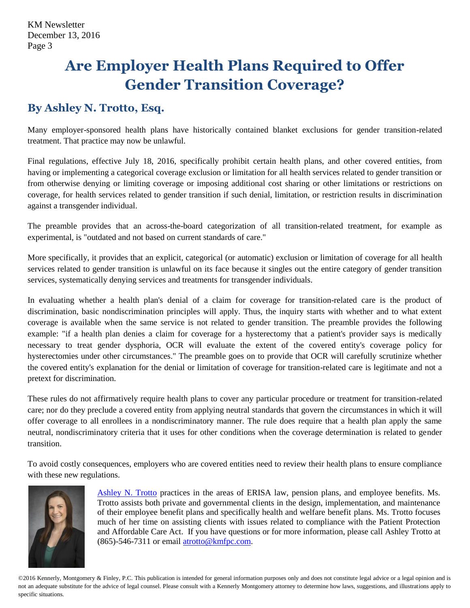# <span id="page-2-0"></span>**Are Employer Health Plans Required to Offer Gender Transition Coverage?**

## **By Ashley N. Trotto, Esq.**

Many employer-sponsored health plans have historically contained blanket exclusions for gender transition-related treatment. That practice may now be unlawful.

Final regulations, effective July 18, 2016, specifically prohibit certain health plans, and other covered entities, from having or implementing a categorical coverage exclusion or limitation for all health services related to gender transition or from otherwise denying or limiting coverage or imposing additional cost sharing or other limitations or restrictions on coverage, for health services related to gender transition if such denial, limitation, or restriction results in discrimination against a transgender individual.

The preamble provides that an across-the-board categorization of all transition-related treatment, for example as experimental, is "outdated and not based on current standards of care."

More specifically, it provides that an explicit, categorical (or automatic) exclusion or limitation of coverage for all health services related to gender transition is unlawful on its face because it singles out the entire category of gender transition services, systematically denying services and treatments for transgender individuals.

In evaluating whether a health plan's denial of a claim for coverage for transition-related care is the product of discrimination, basic nondiscrimination principles will apply. Thus, the inquiry starts with whether and to what extent coverage is available when the same service is not related to gender transition. The preamble provides the following example: "if a health plan denies a claim for coverage for a hysterectomy that a patient's provider says is medically necessary to treat gender dysphoria, OCR will evaluate the extent of the covered entity's coverage policy for hysterectomies under other circumstances." The preamble goes on to provide that OCR will carefully scrutinize whether the covered entity's explanation for the denial or limitation of coverage for transition-related care is legitimate and not a pretext for discrimination.

These rules do not affirmatively require health plans to cover any particular procedure or treatment for transition-related care; nor do they preclude a covered entity from applying neutral standards that govern the circumstances in which it will offer coverage to all enrollees in a nondiscriminatory manner. The rule does require that a health plan apply the same neutral, nondiscriminatory criteria that it uses for other conditions when the coverage determination is related to gender transition.

To avoid costly consequences, employers who are covered entities need to review their health plans to ensure compliance with these new regulations.



[Ashley N. Trotto](http://www.kmfpc.com/attorneys/ashley_n_trotto.aspx) practices in the areas of ERISA law, pension plans, and employee benefits. Ms. Trotto assists both private and governmental clients in the design, implementation, and maintenance of their employee benefit plans and specifically health and welfare benefit plans. Ms. Trotto focuses much of her time on assisting clients with issues related to compliance with the Patient Protection and Affordable Care Act. If you have questions or for more information, please call Ashley Trotto at  $(865)$ -546-7311 or email [atrotto@kmfpc.com.](mailto:atrotto@kmfpc.com)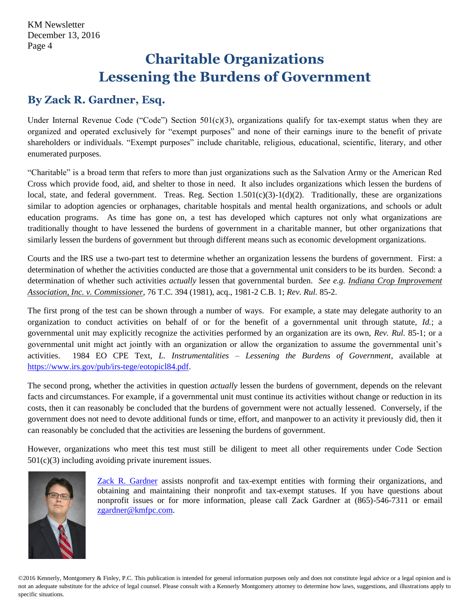## **Charitable Organizations Lessening the Burdens of Government**

## <span id="page-3-0"></span>**By Zack R. Gardner, Esq.**

Under Internal Revenue Code ("Code") Section 501(c)(3), organizations qualify for tax-exempt status when they are organized and operated exclusively for "exempt purposes" and none of their earnings inure to the benefit of private shareholders or individuals. "Exempt purposes" include charitable, religious, educational, scientific, literary, and other enumerated purposes.

"Charitable" is a broad term that refers to more than just organizations such as the Salvation Army or the American Red Cross which provide food, aid, and shelter to those in need. It also includes organizations which lessen the burdens of local, state, and federal government. Treas. Reg. Section  $1.501(c)(3)-1(d)(2)$ . Traditionally, these are organizations similar to adoption agencies or orphanages, charitable hospitals and mental health organizations, and schools or adult education programs. As time has gone on, a test has developed which captures not only what organizations are traditionally thought to have lessened the burdens of government in a charitable manner, but other organizations that similarly lessen the burdens of government but through different means such as economic development organizations.

Courts and the IRS use a two-part test to determine whether an organization lessens the burdens of government. First: a determination of whether the activities conducted are those that a governmental unit considers to be its burden. Second: a determination of whether such activities *actually* lessen that governmental burden. *See e.g. Indiana Crop Improvement Association, Inc. v. Commissioner*, 76 T.C. 394 (1981), acq., 1981-2 C.B. 1; *Rev. Rul.* 85-2.

The first prong of the test can be shown through a number of ways. For example, a state may delegate authority to an organization to conduct activities on behalf of or for the benefit of a governmental unit through statute, *Id.*; a governmental unit may explicitly recognize the activities performed by an organization are its own, *Rev. Rul.* 85-1; or a governmental unit might act jointly with an organization or allow the organization to assume the governmental unit's activities. 1984 EO CPE Text, *L. Instrumentalities – Lessening the Burdens of Government*, available at [https://www.irs.gov/pub/irs-tege/eotopicl84.pdf.](https://www.irs.gov/pub/irs-tege/eotopicl84.pdf)

The second prong, whether the activities in question *actually* lessen the burdens of government, depends on the relevant facts and circumstances. For example, if a governmental unit must continue its activities without change or reduction in its costs, then it can reasonably be concluded that the burdens of government were not actually lessened. Conversely, if the government does not need to devote additional funds or time, effort, and manpower to an activity it previously did, then it can reasonably be concluded that the activities are lessening the burdens of government.

However, organizations who meet this test must still be diligent to meet all other requirements under Code Section 501(c)(3) including avoiding private inurement issues.



[Zack R. Gardner](http://www.kmfpc.com/attorneys/zack_r_gardner.aspx) assists nonprofit and tax-exempt entities with forming their organizations, and obtaining and maintaining their nonprofit and tax-exempt statuses. If you have questions about nonprofit issues or for more information, please call Zack Gardner at (865)-546-7311 or email [zgardner@kmfpc.com.](mailto:zgardner@kmfpc.com?subject=Nonprofit%20information)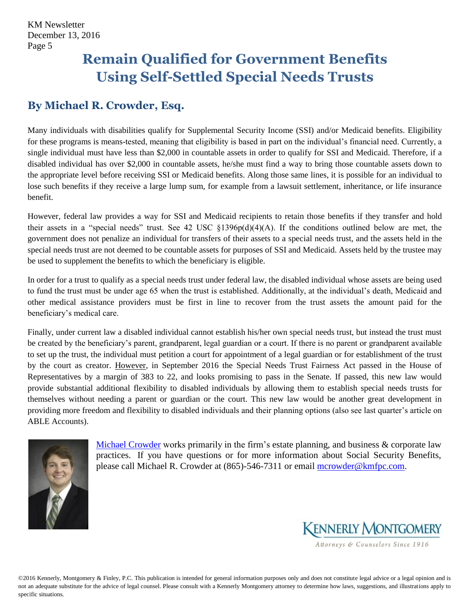# <span id="page-4-0"></span>**Remain Qualified for Government Benefits Using Self-Settled Special Needs Trusts**

## **By Michael R. Crowder, Esq.**

Many individuals with disabilities qualify for Supplemental Security Income (SSI) and/or Medicaid benefits. Eligibility for these programs is means-tested, meaning that eligibility is based in part on the individual's financial need. Currently, a single individual must have less than \$2,000 in countable assets in order to qualify for SSI and Medicaid. Therefore, if a disabled individual has over \$2,000 in countable assets, he/she must find a way to bring those countable assets down to the appropriate level before receiving SSI or Medicaid benefits. Along those same lines, it is possible for an individual to lose such benefits if they receive a large lump sum, for example from a lawsuit settlement, inheritance, or life insurance benefit.

However, federal law provides a way for SSI and Medicaid recipients to retain those benefits if they transfer and hold their assets in a "special needs" trust. See 42 USC §1396p(d)(4)(A). If the conditions outlined below are met, the government does not penalize an individual for transfers of their assets to a special needs trust, and the assets held in the special needs trust are not deemed to be countable assets for purposes of SSI and Medicaid. Assets held by the trustee may be used to supplement the benefits to which the beneficiary is eligible.

In order for a trust to qualify as a special needs trust under federal law, the disabled individual whose assets are being used to fund the trust must be under age 65 when the trust is established. Additionally, at the individual's death, Medicaid and other medical assistance providers must be first in line to recover from the trust assets the amount paid for the beneficiary's medical care.

Finally, under current law a disabled individual cannot establish his/her own special needs trust, but instead the trust must be created by the beneficiary's parent, grandparent, legal guardian or a court. If there is no parent or grandparent available to set up the trust, the individual must petition a court for appointment of a legal guardian or for establishment of the trust by the court as creator. However, in September 2016 the Special Needs Trust Fairness Act passed in the House of Representatives by a margin of 383 to 22, and looks promising to pass in the Senate. If passed, this new law would provide substantial additional flexibility to disabled individuals by allowing them to establish special needs trusts for themselves without needing a parent or guardian or the court. This new law would be another great development in providing more freedom and flexibility to disabled individuals and their planning options (also see last quarter's article on ABLE Accounts).



[Michael Crowder](http://www.kmfpc.com/attorneys/michael_r_crowder.aspx) works primarily in the firm's estate planning, and business & corporate law practices. If you have questions or for more information about Social Security Benefits, please call Michael R. Crowder at (865)-546-7311 or email [mcrowder@kmfpc.com.](mailto:mcrowder@kmfpc.com)



Attorneys & Counselors Since 1916